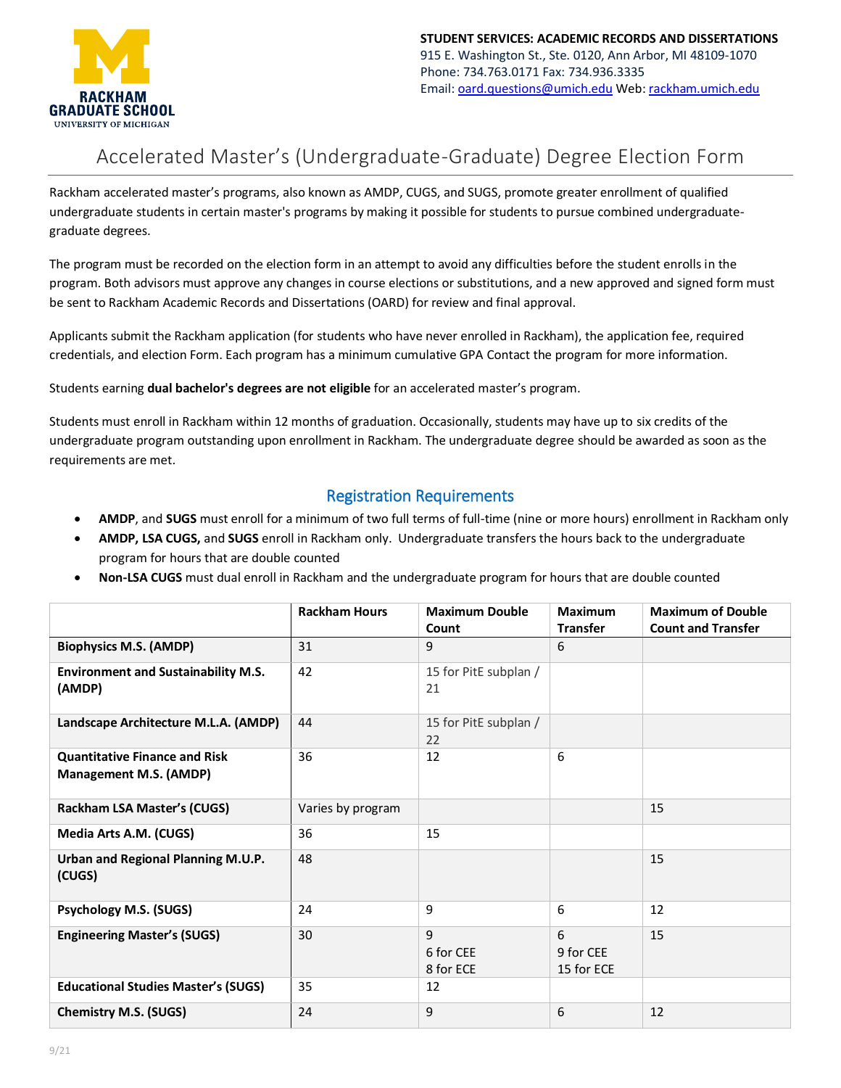

## Accelerated Master's (Undergraduate-Graduate) Degree Election Form

Rackham accelerated master's programs, also known as AMDP, CUGS, and SUGS, promote greater enrollment of qualified undergraduate students in certain master's programs by making it possible for students to pursue combined undergraduategraduate degrees.

The program must be recorded on the election form in an attempt to avoid any difficulties before the student enrolls in the program. Both advisors must approve any changes in course elections or substitutions, and a new approved and signed form must be sent to Rackham Academic Records and Dissertations (OARD) for review and final approval.

Applicants submit the Rackham application (for students who have never enrolled in Rackham), the application fee, required credentials, and election Form. Each program has a minimum cumulative GPA Contact the program for more information.

Students earning **dual bachelor's degrees are not eligible** for an accelerated master's program.

Students must enroll in Rackham within 12 months of graduation. Occasionally, students may have up to six credits of the undergraduate program outstanding upon enrollment in Rackham. The undergraduate degree should be awarded as soon as the requirements are met.

## Registration Requirements

- **AMDP**, and **SUGS** must enroll for a minimum of two full terms of full-time (nine or more hours) enrollment in Rackham only
- **AMDP, LSA CUGS,** and **SUGS** enroll in Rackham only. Undergraduate transfers the hours back to the undergraduate program for hours that are double counted
- **Non-LSA CUGS** must dual enroll in Rackham and the undergraduate program for hours that are double counted

|                                                                | <b>Rackham Hours</b> | <b>Maximum Double</b>       | <b>Maximum</b>               | <b>Maximum of Double</b>  |
|----------------------------------------------------------------|----------------------|-----------------------------|------------------------------|---------------------------|
|                                                                |                      | Count                       | <b>Transfer</b>              | <b>Count and Transfer</b> |
| <b>Biophysics M.S. (AMDP)</b>                                  | 31                   | 9                           | 6                            |                           |
| <b>Environment and Sustainability M.S.</b><br>(AMDP)           | 42                   | 15 for PitE subplan /<br>21 |                              |                           |
| Landscape Architecture M.L.A. (AMDP)                           | 44                   | 15 for PitE subplan /<br>22 |                              |                           |
| <b>Quantitative Finance and Risk</b><br>Management M.S. (AMDP) | 36                   | 12                          | 6                            |                           |
| Rackham LSA Master's (CUGS)                                    | Varies by program    |                             |                              | 15                        |
| Media Arts A.M. (CUGS)                                         | 36                   | 15                          |                              |                           |
| Urban and Regional Planning M.U.P.<br>(CUGS)                   | 48                   |                             |                              | 15                        |
| <b>Psychology M.S. (SUGS)</b>                                  | 24                   | 9                           | 6                            | 12                        |
| <b>Engineering Master's (SUGS)</b>                             | 30                   | 9<br>6 for CEE<br>8 for ECE | 6<br>9 for CEE<br>15 for ECE | 15                        |
| <b>Educational Studies Master's (SUGS)</b>                     | 35                   | 12                          |                              |                           |
| <b>Chemistry M.S. (SUGS)</b>                                   | 24                   | 9                           | 6                            | 12                        |